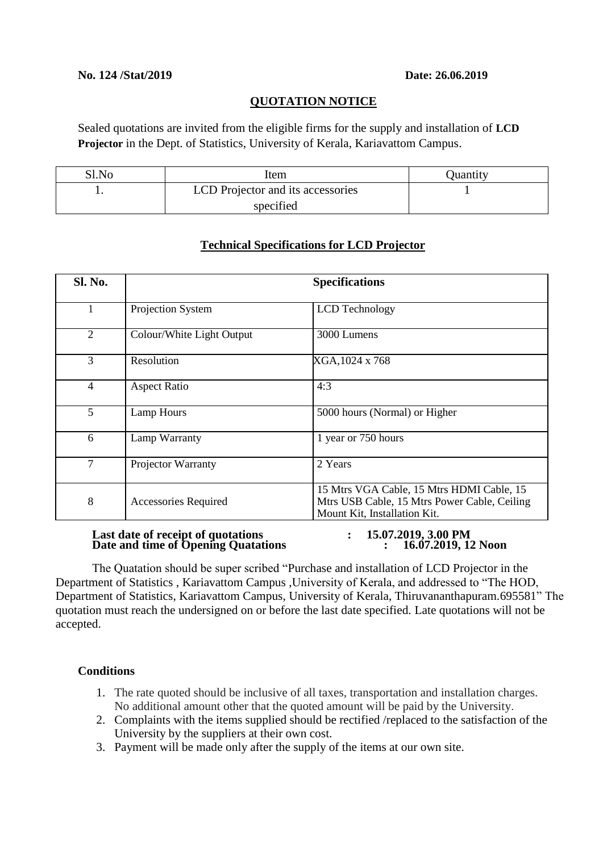#### **No. 124 /Stat/2019 Date: 26.06.2019**

#### **QUOTATION NOTICE**

Sealed quotations are invited from the eligible firms for the supply and installation of **LCD Projector** in the Dept. of Statistics, University of Kerala, Kariavattom Campus.

| Sl.No | Item                              | Quantity |
|-------|-----------------------------------|----------|
| . .   | LCD Projector and its accessories |          |
|       | specified                         |          |

# **Sl. No. Specifications** 1 Projection System LCD Technology 2 Colour/White Light Output 3000 Lumens 3 Resolution XGA, 1024 x 768 4 Aspect Ratio 4:3 5 Lamp Hours 5000 hours (Normal) or Higher 6 Lamp Warranty 1 year or 750 hours 7 Projector Warranty 2 Years 8 Accessories Required 15 Mtrs VGA Cable, 15 Mtrs HDMI Cable, 15 Mtrs USB Cable, 15 Mtrs Power Cable, Ceiling Mount Kit, Installation Kit.

## **Technical Specifications for LCD Projector**

#### **Last date of receipt of quotations : 15.07.2019, 3.00 PM Date and time of Opening Quatations : 16.07.2019, 12 Noon**

The Quatation should be super scribed "Purchase and installation of LCD Projector in the Department of Statistics , Kariavattom Campus ,University of Kerala, and addressed to "The HOD, Department of Statistics, Kariavattom Campus, University of Kerala, Thiruvananthapuram.695581" The quotation must reach the undersigned on or before the last date specified. Late quotations will not be accepted.

## **Conditions**

- 1. The rate quoted should be inclusive of all taxes, transportation and installation charges. No additional amount other that the quoted amount will be paid by the University.
- 2. Complaints with the items supplied should be rectified /replaced to the satisfaction of the University by the suppliers at their own cost.
- 3. Payment will be made only after the supply of the items at our own site.